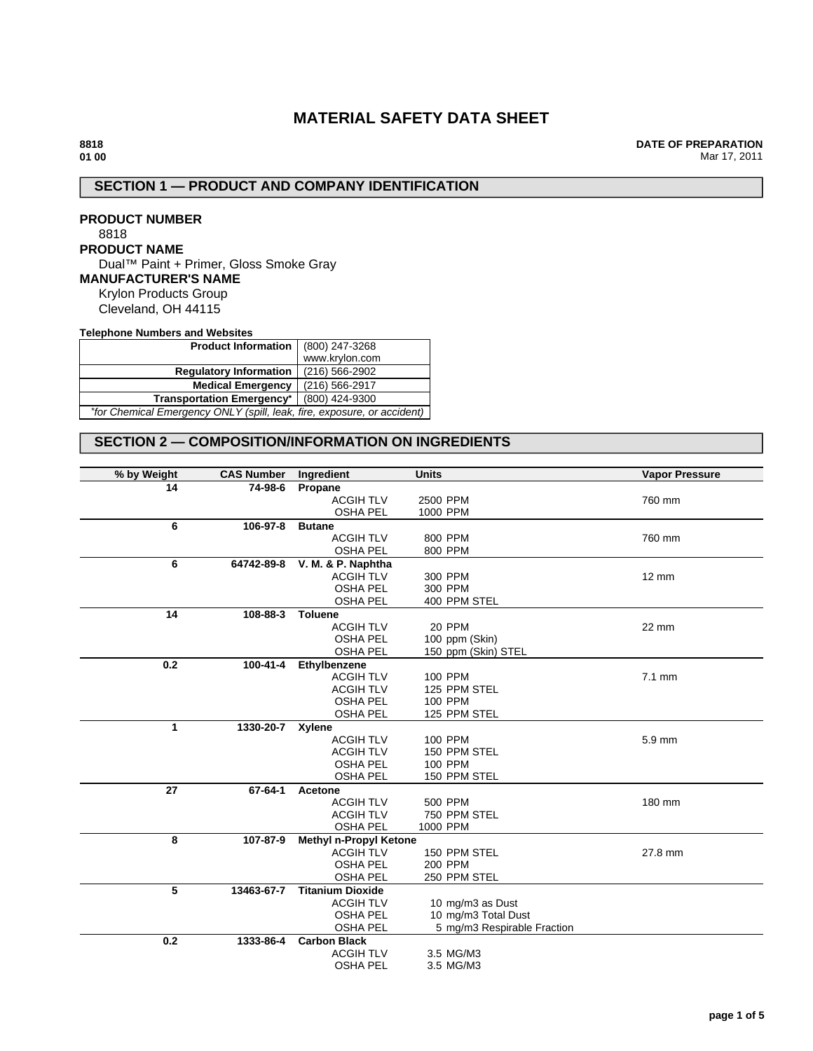# **MATERIAL SAFETY DATA SHEET**

**DATE OF PREPARATION** Mar 17, 2011

# **SECTION 1 — PRODUCT AND COMPANY IDENTIFICATION**

**PRODUCT NUMBER** 8818 **PRODUCT NAME** Dual™ Paint + Primer, Gloss Smoke Gray **MANUFACTURER'S NAME** Krylon Products Group Cleveland, OH 44115

**Telephone Numbers and Websites**

| <b>Product Information</b> (800) 247-3268                               |                |  |
|-------------------------------------------------------------------------|----------------|--|
|                                                                         | www.krylon.com |  |
| <b>Requlatory Information</b>                                           | (216) 566-2902 |  |
| <b>Medical Emergency</b>                                                | (216) 566-2917 |  |
| <b>Transportation Emergency*</b><br>(800) 424-9300                      |                |  |
| *for Chemical Emergency ONLY (spill, leak, fire, exposure, or accident) |                |  |

# **SECTION 2 — COMPOSITION/INFORMATION ON INGREDIENTS**

| % by Weight<br><b>CAS Number</b> | Ingredient                          | <b>Units</b>                | <b>Vapor Pressure</b> |
|----------------------------------|-------------------------------------|-----------------------------|-----------------------|
| 14<br>74-98-6                    | Propane                             |                             |                       |
|                                  | <b>ACGIH TLV</b>                    | 2500 PPM                    | 760 mm                |
|                                  | <b>OSHA PEL</b>                     | 1000 PPM                    |                       |
| 6<br>106-97-8                    | <b>Butane</b>                       |                             |                       |
|                                  | <b>ACGIH TLV</b>                    | 800 PPM                     | 760 mm                |
|                                  | <b>OSHA PEL</b>                     | 800 PPM                     |                       |
| 6<br>64742-89-8                  | V. M. & P. Naphtha                  |                             |                       |
|                                  | <b>ACGIH TLV</b>                    | 300 PPM                     | 12 mm                 |
|                                  | <b>OSHA PEL</b>                     | 300 PPM                     |                       |
|                                  | <b>OSHA PEL</b>                     | 400 PPM STEL                |                       |
| 14<br>108-88-3                   | <b>Toluene</b>                      |                             |                       |
|                                  | <b>ACGIH TLV</b>                    | 20 PPM                      | 22 mm                 |
|                                  | <b>OSHA PEL</b>                     | 100 ppm (Skin)              |                       |
|                                  | <b>OSHA PEL</b>                     | 150 ppm (Skin) STEL         |                       |
| 0.2<br>100-41-4                  | Ethylbenzene                        |                             |                       |
|                                  | <b>ACGIH TLV</b>                    | 100 PPM                     | $7.1 \text{ mm}$      |
|                                  | <b>ACGIH TLV</b>                    | 125 PPM STEL                |                       |
|                                  | <b>OSHA PEL</b>                     | 100 PPM                     |                       |
|                                  | <b>OSHA PEL</b>                     | 125 PPM STEL                |                       |
| 1<br>1330-20-7                   | Xylene                              |                             |                       |
|                                  | <b>ACGIH TLV</b>                    | 100 PPM                     | 5.9 mm                |
|                                  | <b>ACGIH TLV</b><br><b>OSHA PEL</b> | 150 PPM STEL<br>100 PPM     |                       |
|                                  | <b>OSHA PEL</b>                     | 150 PPM STEL                |                       |
| 27<br>67-64-1                    | Acetone                             |                             |                       |
|                                  | <b>ACGIH TLV</b>                    | 500 PPM                     | 180 mm                |
|                                  | <b>ACGIH TLV</b>                    | 750 PPM STEL                |                       |
|                                  | <b>OSHA PEL</b>                     | 1000 PPM                    |                       |
| 8<br>107-87-9                    | <b>Methyl n-Propyl Ketone</b>       |                             |                       |
|                                  | <b>ACGIH TLV</b>                    | 150 PPM STEL                | 27.8 mm               |
|                                  | <b>OSHA PEL</b>                     | 200 PPM                     |                       |
|                                  | <b>OSHA PEL</b>                     | 250 PPM STEL                |                       |
| 5<br>13463-67-7                  | <b>Titanium Dioxide</b>             |                             |                       |
|                                  | <b>ACGIH TLV</b>                    | 10 mg/m3 as Dust            |                       |
|                                  | <b>OSHA PEL</b>                     | 10 mg/m3 Total Dust         |                       |
|                                  | <b>OSHA PEL</b>                     | 5 mg/m3 Respirable Fraction |                       |
| 0.2<br>1333-86-4                 | <b>Carbon Black</b>                 |                             |                       |
|                                  | <b>ACGIH TLV</b>                    | 3.5 MG/M3                   |                       |
|                                  | <b>OSHA PEL</b>                     | 3.5 MG/M3                   |                       |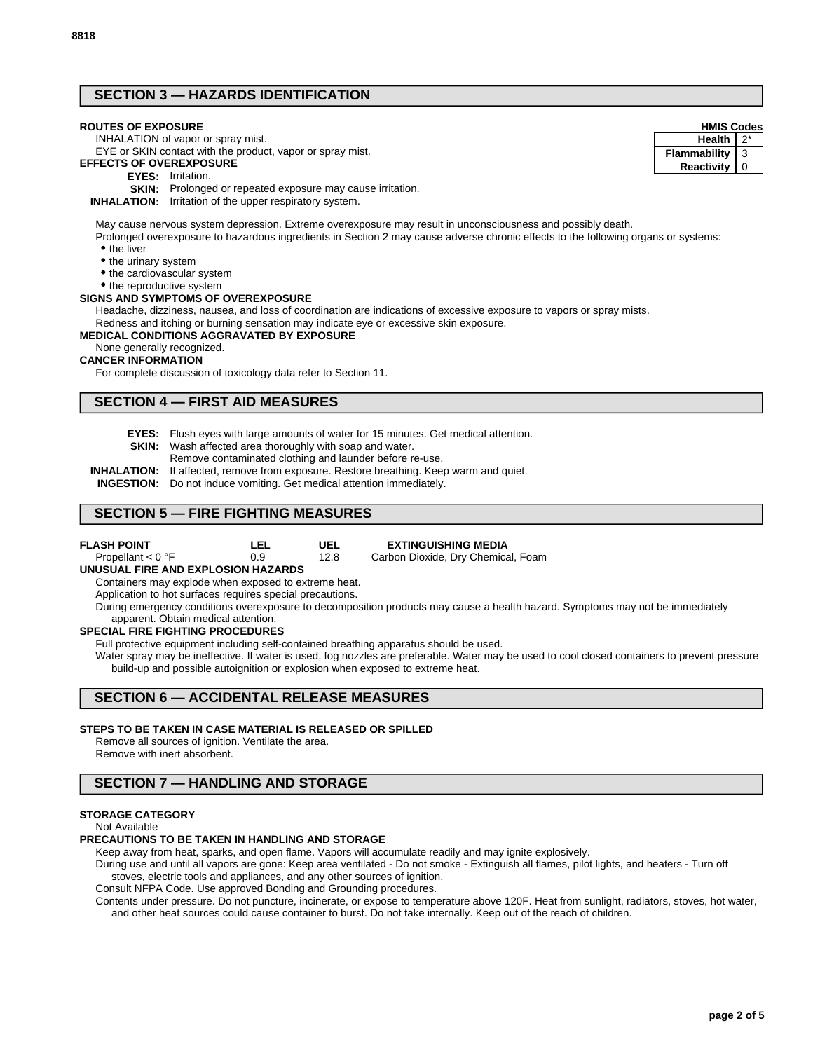# **SECTION 3 — HAZARDS IDENTIFICATION**

## **ROUTES OF EXPOSURE**

INHALATION of vapor or spray mist.

#### EYE or SKIN contact with the product, vapor or spray mist. **EFFECTS OF OVEREXPOSURE**

- **EYES:** Irritation.
- 

**SKIN:** Prolonged or repeated exposure may cause irritation.

**INHALATION:** Irritation of the upper respiratory system.

May cause nervous system depression. Extreme overexposure may result in unconsciousness and possibly death.

Prolonged overexposure to hazardous ingredients in Section 2 may cause adverse chronic effects to the following organs or systems: • the liver

- the urinary system
- the cardiovascular system

• the reproductive system

### **SIGNS AND SYMPTOMS OF OVEREXPOSURE**

Headache, dizziness, nausea, and loss of coordination are indications of excessive exposure to vapors or spray mists. Redness and itching or burning sensation may indicate eye or excessive skin exposure.

### **MEDICAL CONDITIONS AGGRAVATED BY EXPOSURE**

None generally recognized.

#### **CANCER INFORMATION**

For complete discussion of toxicology data refer to Section 11.

## **SECTION 4 — FIRST AID MEASURES**

- **EYES:** Flush eyes with large amounts of water for 15 minutes. Get medical attention.
- **SKIN:** Wash affected area thoroughly with soap and water.
	- Remove contaminated clothing and launder before re-use.
- **INHALATION:** If affected, remove from exposure. Restore breathing. Keep warm and quiet.
- **INGESTION:** Do not induce vomiting. Get medical attention immediately.

## **SECTION 5 — FIRE FIGHTING MEASURES**

| <b>FLASH POINT</b>  | LEL | UEL  | <b>EXTINGUISHING MEDIA</b>         |
|---------------------|-----|------|------------------------------------|
| Propellant $< 0$ °F | 0.9 | 12.8 | Carbon Dioxide, Dry Chemical, Foam |

#### **UNUSUAL FIRE AND EXPLOSION HAZARDS**

Containers may explode when exposed to extreme heat.

Application to hot surfaces requires special precautions.

During emergency conditions overexposure to decomposition products may cause a health hazard. Symptoms may not be immediately

#### apparent. Obtain medical attention. **SPECIAL FIRE FIGHTING PROCEDURES**

Full protective equipment including self-contained breathing apparatus should be used.

Water spray may be ineffective. If water is used, fog nozzles are preferable. Water may be used to cool closed containers to prevent pressure build-up and possible autoignition or explosion when exposed to extreme heat.

## **SECTION 6 — ACCIDENTAL RELEASE MEASURES**

## **STEPS TO BE TAKEN IN CASE MATERIAL IS RELEASED OR SPILLED**

Remove all sources of ignition. Ventilate the area. Remove with inert absorbent.

# **SECTION 7 — HANDLING AND STORAGE**

### **STORAGE CATEGORY**

#### Not Available

#### **PRECAUTIONS TO BE TAKEN IN HANDLING AND STORAGE**

Keep away from heat, sparks, and open flame. Vapors will accumulate readily and may ignite explosively.

During use and until all vapors are gone: Keep area ventilated - Do not smoke - Extinguish all flames, pilot lights, and heaters - Turn off stoves, electric tools and appliances, and any other sources of ignition.

Consult NFPA Code. Use approved Bonding and Grounding procedures.

Contents under pressure. Do not puncture, incinerate, or expose to temperature above 120F. Heat from sunlight, radiators, stoves, hot water, and other heat sources could cause container to burst. Do not take internally. Keep out of the reach of children.

# **HMIS Codes**

**Reactivity** 0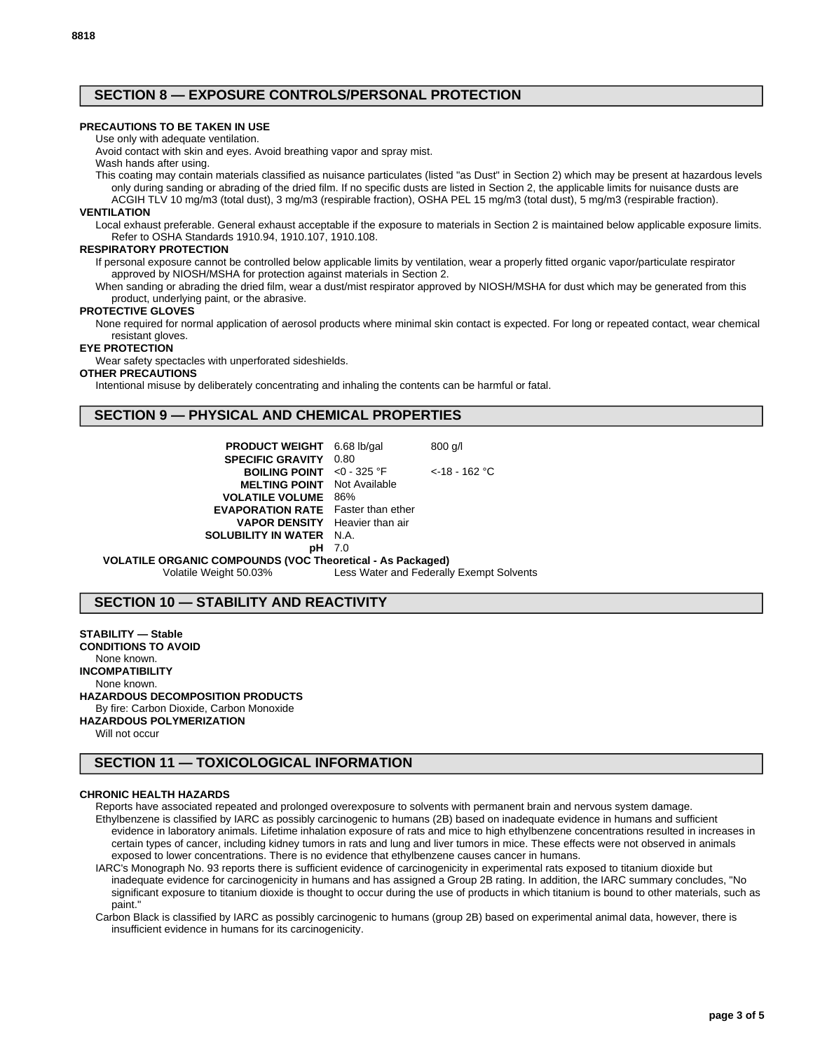# **SECTION 8 — EXPOSURE CONTROLS/PERSONAL PROTECTION**

## **PRECAUTIONS TO BE TAKEN IN USE**

Use only with adequate ventilation.

Avoid contact with skin and eyes. Avoid breathing vapor and spray mist. Wash hands after using.

This coating may contain materials classified as nuisance particulates (listed "as Dust" in Section 2) which may be present at hazardous levels only during sanding or abrading of the dried film. If no specific dusts are listed in Section 2, the applicable limits for nuisance dusts are ACGIH TLV 10 mg/m3 (total dust), 3 mg/m3 (respirable fraction), OSHA PEL 15 mg/m3 (total dust), 5 mg/m3 (respirable fraction).

## **VENTILATION**

Local exhaust preferable. General exhaust acceptable if the exposure to materials in Section 2 is maintained below applicable exposure limits. Refer to OSHA Standards 1910.94, 1910.107, 1910.108.

### **RESPIRATORY PROTECTION**

If personal exposure cannot be controlled below applicable limits by ventilation, wear a properly fitted organic vapor/particulate respirator approved by NIOSH/MSHA for protection against materials in Section 2.

When sanding or abrading the dried film, wear a dust/mist respirator approved by NIOSH/MSHA for dust which may be generated from this product, underlying paint, or the abrasive.

#### **PROTECTIVE GLOVES**

None required for normal application of aerosol products where minimal skin contact is expected. For long or repeated contact, wear chemical resistant gloves.

#### **EYE PROTECTION**

Wear safety spectacles with unperforated sideshields.

#### **OTHER PRECAUTIONS**

Intentional misuse by deliberately concentrating and inhaling the contents can be harmful or fatal.

# **SECTION 9 — PHYSICAL AND CHEMICAL PROPERTIES**

| <b>PRODUCT WEIGHT</b> 6.68 lb/gal<br><b>SPECIFIC GRAVITY 0.80</b> |     | $800$ g/l        |
|-------------------------------------------------------------------|-----|------------------|
| <b>BOILING POINT</b> <0 - 325 °F                                  |     | $<$ -18 - 162 °C |
| <b>MELTING POINT</b> Not Available                                |     |                  |
| <b>VOLATILE VOLUME</b> 86%                                        |     |                  |
| <b>EVAPORATION RATE</b> Faster than ether                         |     |                  |
| <b>VAPOR DENSITY</b> Heavier than air                             |     |                  |
| <b>SOLUBILITY IN WATER N.A.</b>                                   |     |                  |
|                                                                   | 7.0 |                  |

**VOLATILE ORGANIC COMPOUNDS (VOC Theoretical - As Packaged)** Volatile Weight 50.03% Less Water and Federally Exempt Solvents

# **SECTION 10 — STABILITY AND REACTIVITY**

**STABILITY — Stable**

**CONDITIONS TO AVOID** None known. **INCOMPATIBILITY** None known.

# **HAZARDOUS DECOMPOSITION PRODUCTS**

By fire: Carbon Dioxide, Carbon Monoxide

**HAZARDOUS POLYMERIZATION**

Will not occur

# **SECTION 11 — TOXICOLOGICAL INFORMATION**

#### **CHRONIC HEALTH HAZARDS**

Reports have associated repeated and prolonged overexposure to solvents with permanent brain and nervous system damage. Ethylbenzene is classified by IARC as possibly carcinogenic to humans (2B) based on inadequate evidence in humans and sufficient evidence in laboratory animals. Lifetime inhalation exposure of rats and mice to high ethylbenzene concentrations resulted in increases in certain types of cancer, including kidney tumors in rats and lung and liver tumors in mice. These effects were not observed in animals exposed to lower concentrations. There is no evidence that ethylbenzene causes cancer in humans.

IARC's Monograph No. 93 reports there is sufficient evidence of carcinogenicity in experimental rats exposed to titanium dioxide but inadequate evidence for carcinogenicity in humans and has assigned a Group 2B rating. In addition, the IARC summary concludes, "No significant exposure to titanium dioxide is thought to occur during the use of products in which titanium is bound to other materials, such as paint."

Carbon Black is classified by IARC as possibly carcinogenic to humans (group 2B) based on experimental animal data, however, there is insufficient evidence in humans for its carcinogenicity.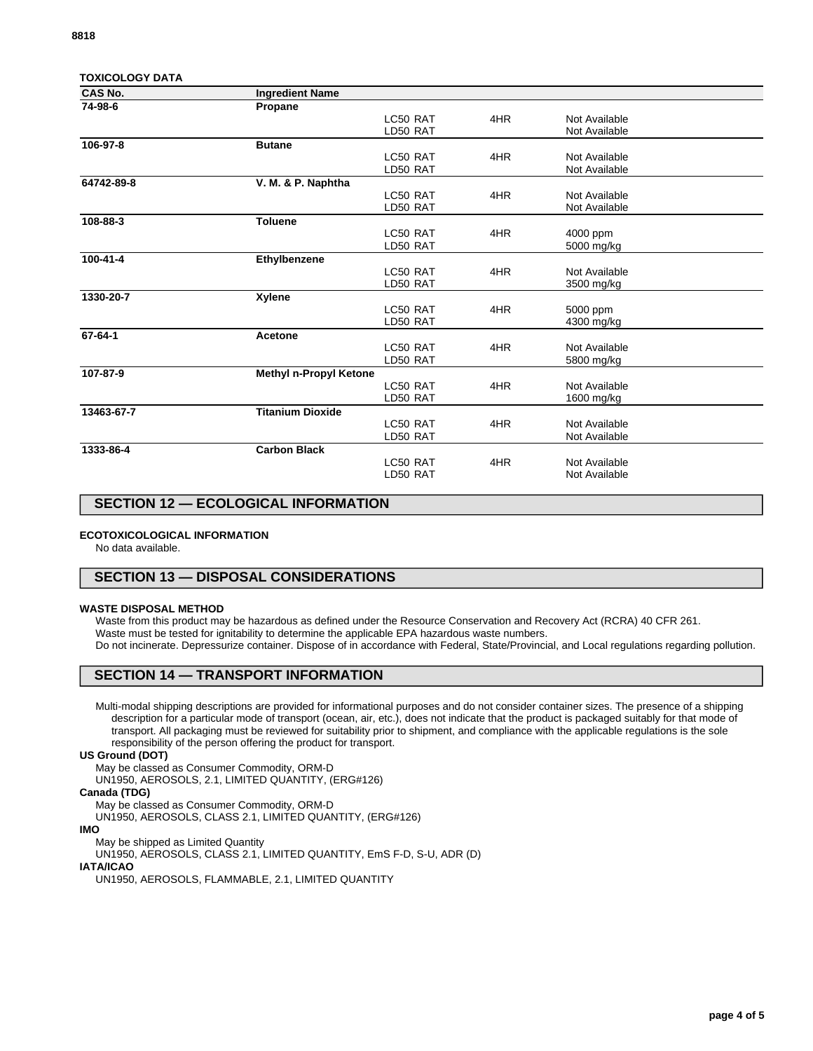| TOXICOLOGY DATA |  |
|-----------------|--|
| ---             |  |

| <b>CAS No.</b> | <b>Ingredient Name</b>  |          |     |               |  |
|----------------|-------------------------|----------|-----|---------------|--|
| 74-98-6        | Propane                 |          |     |               |  |
|                |                         | LC50 RAT | 4HR | Not Available |  |
|                |                         | LD50 RAT |     | Not Available |  |
| 106-97-8       | <b>Butane</b>           |          |     |               |  |
|                |                         | LC50 RAT | 4HR | Not Available |  |
|                |                         | LD50 RAT |     | Not Available |  |
| 64742-89-8     | V. M. & P. Naphtha      |          |     |               |  |
|                |                         | LC50 RAT | 4HR | Not Available |  |
|                |                         | LD50 RAT |     | Not Available |  |
| 108-88-3       | <b>Toluene</b>          |          |     |               |  |
|                |                         | LC50 RAT | 4HR | 4000 ppm      |  |
|                |                         | LD50 RAT |     | 5000 mg/kg    |  |
| 100-41-4       | Ethylbenzene            |          |     |               |  |
|                |                         | LC50 RAT | 4HR | Not Available |  |
|                |                         | LD50 RAT |     | 3500 mg/kg    |  |
| 1330-20-7      | <b>Xylene</b>           |          |     |               |  |
|                |                         | LC50 RAT | 4HR | 5000 ppm      |  |
|                |                         | LD50 RAT |     | 4300 mg/kg    |  |
| 67-64-1        | Acetone                 |          |     |               |  |
|                |                         | LC50 RAT | 4HR | Not Available |  |
|                |                         | LD50 RAT |     | 5800 mg/kg    |  |
| 107-87-9       | Methyl n-Propyl Ketone  |          |     |               |  |
|                |                         | LC50 RAT | 4HR | Not Available |  |
|                |                         | LD50 RAT |     | 1600 mg/kg    |  |
| 13463-67-7     | <b>Titanium Dioxide</b> |          |     |               |  |
|                |                         | LC50 RAT | 4HR | Not Available |  |
|                |                         | LD50 RAT |     | Not Available |  |
| 1333-86-4      | <b>Carbon Black</b>     |          |     |               |  |
|                |                         | LC50 RAT | 4HR | Not Available |  |
|                |                         | LD50 RAT |     | Not Available |  |
|                |                         |          |     |               |  |

# **SECTION 12 — ECOLOGICAL INFORMATION**

#### **ECOTOXICOLOGICAL INFORMATION**

No data available.

# **SECTION 13 — DISPOSAL CONSIDERATIONS**

#### **WASTE DISPOSAL METHOD**

Waste from this product may be hazardous as defined under the Resource Conservation and Recovery Act (RCRA) 40 CFR 261. Waste must be tested for ignitability to determine the applicable EPA hazardous waste numbers. Do not incinerate. Depressurize container. Dispose of in accordance with Federal, State/Provincial, and Local regulations regarding pollution.

# **SECTION 14 — TRANSPORT INFORMATION**

Multi-modal shipping descriptions are provided for informational purposes and do not consider container sizes. The presence of a shipping description for a particular mode of transport (ocean, air, etc.), does not indicate that the product is packaged suitably for that mode of transport. All packaging must be reviewed for suitability prior to shipment, and compliance with the applicable regulations is the sole responsibility of the person offering the product for transport.

#### **US Ground (DOT)**

May be classed as Consumer Commodity, ORM-D

UN1950, AEROSOLS, 2.1, LIMITED QUANTITY, (ERG#126)

## **Canada (TDG)**

May be classed as Consumer Commodity, ORM-D

UN1950, AEROSOLS, CLASS 2.1, LIMITED QUANTITY, (ERG#126)

**IMO**

May be shipped as Limited Quantity

UN1950, AEROSOLS, CLASS 2.1, LIMITED QUANTITY, EmS F-D, S-U, ADR (D)

# **IATA/ICAO**

UN1950, AEROSOLS, FLAMMABLE, 2.1, LIMITED QUANTITY